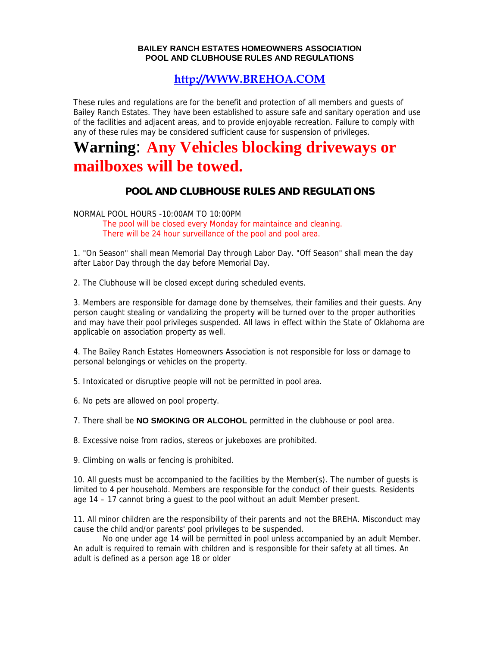## **BAILEY RANCH ESTATES HOMEOWNERS ASSOCIATION POOL AND CLUBHOUSE RULES AND REGULATIONS**

## **[http://WWW.BREHOA.COM](http://www.brehoa.com/)**

These rules and regulations are for the benefit and protection of all members and guests of Bailey Ranch Estates. They have been established to assure safe and sanitary operation and use of the facilities and adjacent areas, and to provide enjoyable recreation. Failure to comply with any of these rules may be considered sufficient cause for suspension of privileges.

## **Warning**: **Any Vehicles blocking driveways or mailboxes will be towed.**

## **POOL AND CLUBHOUSE RULES AND REGULATIONS**

NORMAL POOL HOURS -10:00AM TO 10:00PM

The pool will be closed every Monday for maintaince and cleaning. There will be 24 hour surveillance of the pool and pool area.

1. "On Season" shall mean Memorial Day through Labor Day. "Off Season" shall mean the day after Labor Day through the day before Memorial Day.

2. The Clubhouse will be closed except during scheduled events.

3. Members are responsible for damage done by themselves, their families and their guests. Any person caught stealing or vandalizing the property will be turned over to the proper authorities and may have their pool privileges suspended. All laws in effect within the State of Oklahoma are applicable on association property as well.

4. The Bailey Ranch Estates Homeowners Association is not responsible for loss or damage to personal belongings or vehicles on the property.

5. Intoxicated or disruptive people will not be permitted in pool area.

6. No pets are allowed on pool property.

7. There shall be **NO SMOKING OR ALCOHOL** permitted in the clubhouse or pool area.

8. Excessive noise from radios, stereos or jukeboxes are prohibited.

9. Climbing on walls or fencing is prohibited.

10. All guests must be accompanied to the facilities by the Member(s). The number of guests is limited to 4 per household. Members are responsible for the conduct of their guests. Residents age 14 – 17 cannot bring a guest to the pool without an adult Member present.

11. All minor children are the responsibility of their parents and not the BREHA. Misconduct may cause the child and/or parents' pool privileges to be suspended.

 No one under age 14 will be permitted in pool unless accompanied by an adult Member. An adult is required to remain with children and is responsible for their safety at all times. An adult is defined as a person age 18 or older